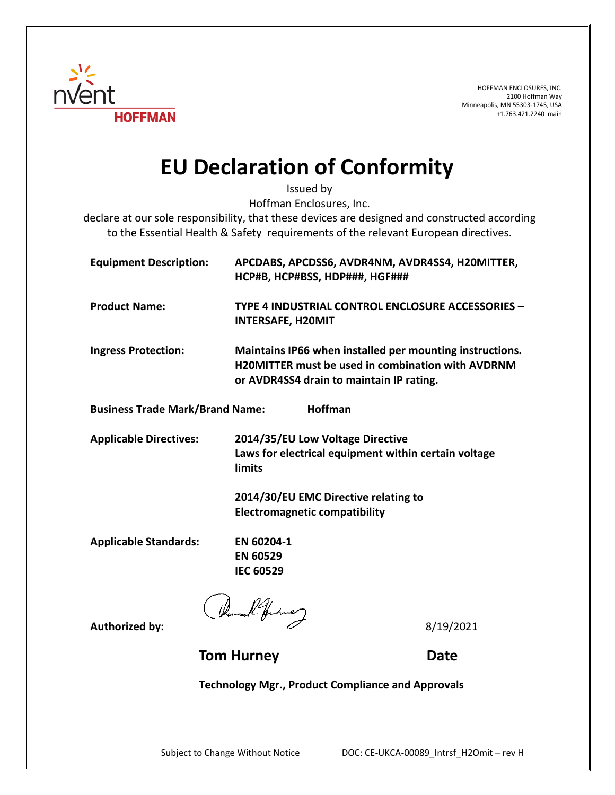

HOFFMAN ENCLOSURES, INC. 2100 Hoffman Way Minneapolis, MN 55303-1745, USA +1.763.421.2240 main

## **EU Declaration of Conformity**

Issued by

Hoffman Enclosures, Inc.

declare at our sole responsibility, that these devices are designed and constructed according to the Essential Health & Safety requirements of the relevant European directives.

| <b>Equipment Description:</b>          | APCDABS, APCDSS6, AVDR4NM, AVDR4SS4, H20MITTER,<br>HCP#B, HCP#BSS, HDP###, HGF###                                                                                |  |  |
|----------------------------------------|------------------------------------------------------------------------------------------------------------------------------------------------------------------|--|--|
| <b>Product Name:</b>                   | TYPE 4 INDUSTRIAL CONTROL ENCLOSURE ACCESSORIES -<br><b>INTERSAFE, H20MIT</b>                                                                                    |  |  |
| <b>Ingress Protection:</b>             | Maintains IP66 when installed per mounting instructions.<br><b>H20MITTER must be used in combination with AVDRNM</b><br>or AVDR4SS4 drain to maintain IP rating. |  |  |
| <b>Business Trade Mark/Brand Name:</b> | <b>Hoffman</b>                                                                                                                                                   |  |  |
| <b>Applicable Directives:</b>          | 2014/35/EU Low Voltage Directive<br>Laws for electrical equipment within certain voltage<br>limits                                                               |  |  |
|                                        | 2014/30/EU EMC Directive relating to<br><b>Electromagnetic compatibility</b>                                                                                     |  |  |
| <b>Applicable Standards:</b>           | EN 60204-1<br><b>EN 60529</b><br><b>IEC 60529</b>                                                                                                                |  |  |

Authorized by:  $\sqrt{h_{\text{bound}}/h_{\text{bound}}/h_{\text{bound}}/h_{\text{total}}/2021}}$ 

**Tom Hurney Date** 

**Technology Mgr., Product Compliance and Approvals**